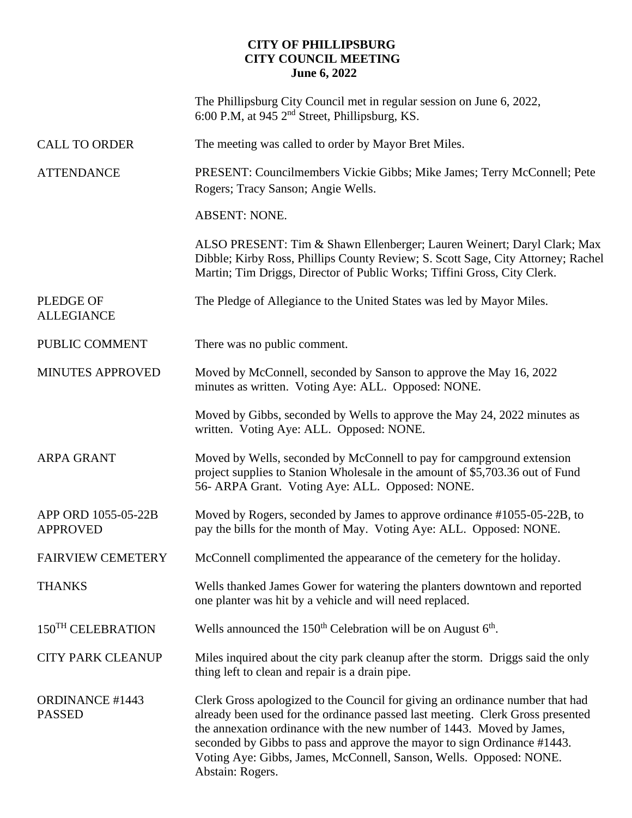## **CITY OF PHILLIPSBURG CITY COUNCIL MEETING June 6, 2022**

|                                        | The Phillipsburg City Council met in regular session on June 6, 2022,<br>6:00 P.M, at 945 2 <sup>nd</sup> Street, Phillipsburg, KS.                                                                                                                                                                                                                                                                            |
|----------------------------------------|----------------------------------------------------------------------------------------------------------------------------------------------------------------------------------------------------------------------------------------------------------------------------------------------------------------------------------------------------------------------------------------------------------------|
| <b>CALL TO ORDER</b>                   | The meeting was called to order by Mayor Bret Miles.                                                                                                                                                                                                                                                                                                                                                           |
| <b>ATTENDANCE</b>                      | PRESENT: Councilmembers Vickie Gibbs; Mike James; Terry McConnell; Pete<br>Rogers; Tracy Sanson; Angie Wells.                                                                                                                                                                                                                                                                                                  |
|                                        | <b>ABSENT: NONE.</b>                                                                                                                                                                                                                                                                                                                                                                                           |
|                                        | ALSO PRESENT: Tim & Shawn Ellenberger; Lauren Weinert; Daryl Clark; Max<br>Dibble; Kirby Ross, Phillips County Review; S. Scott Sage, City Attorney; Rachel<br>Martin; Tim Driggs, Director of Public Works; Tiffini Gross, City Clerk.                                                                                                                                                                        |
| <b>PLEDGE OF</b><br><b>ALLEGIANCE</b>  | The Pledge of Allegiance to the United States was led by Mayor Miles.                                                                                                                                                                                                                                                                                                                                          |
| PUBLIC COMMENT                         | There was no public comment.                                                                                                                                                                                                                                                                                                                                                                                   |
| MINUTES APPROVED                       | Moved by McConnell, seconded by Sanson to approve the May 16, 2022<br>minutes as written. Voting Aye: ALL. Opposed: NONE.                                                                                                                                                                                                                                                                                      |
|                                        | Moved by Gibbs, seconded by Wells to approve the May 24, 2022 minutes as<br>written. Voting Aye: ALL. Opposed: NONE.                                                                                                                                                                                                                                                                                           |
| <b>ARPA GRANT</b>                      | Moved by Wells, seconded by McConnell to pay for campground extension<br>project supplies to Stanion Wholesale in the amount of \$5,703.36 out of Fund<br>56- ARPA Grant. Voting Aye: ALL. Opposed: NONE.                                                                                                                                                                                                      |
| APP ORD 1055-05-22B<br><b>APPROVED</b> | Moved by Rogers, seconded by James to approve ordinance #1055-05-22B, to<br>pay the bills for the month of May. Voting Aye: ALL. Opposed: NONE.                                                                                                                                                                                                                                                                |
| <b>FAIRVIEW CEMETERY</b>               | McConnell complimented the appearance of the cemetery for the holiday.                                                                                                                                                                                                                                                                                                                                         |
| THANKS                                 | Wells thanked James Gower for watering the planters downtown and reported<br>one planter was hit by a vehicle and will need replaced.                                                                                                                                                                                                                                                                          |
| 150 <sup>TH</sup> CELEBRATION          | Wells announced the $150th$ Celebration will be on August $6th$ .                                                                                                                                                                                                                                                                                                                                              |
| <b>CITY PARK CLEANUP</b>               | Miles inquired about the city park cleanup after the storm. Driggs said the only<br>thing left to clean and repair is a drain pipe.                                                                                                                                                                                                                                                                            |
| <b>ORDINANCE #1443</b><br>PASSED       | Clerk Gross apologized to the Council for giving an ordinance number that had<br>already been used for the ordinance passed last meeting. Clerk Gross presented<br>the annexation ordinance with the new number of 1443. Moved by James,<br>seconded by Gibbs to pass and approve the mayor to sign Ordinance #1443.<br>Voting Aye: Gibbs, James, McConnell, Sanson, Wells. Opposed: NONE.<br>Abstain: Rogers. |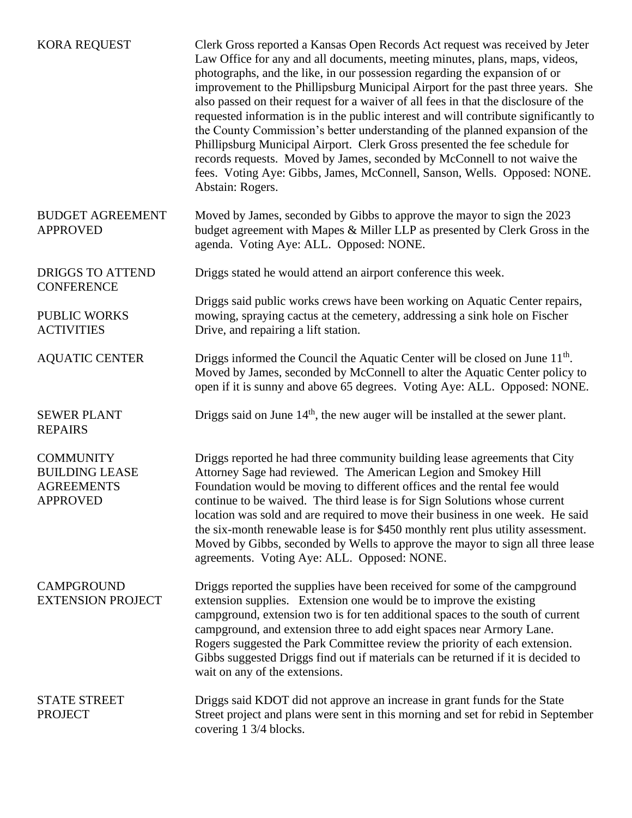| <b>KORA REQUEST</b>                                                               | Clerk Gross reported a Kansas Open Records Act request was received by Jeter<br>Law Office for any and all documents, meeting minutes, plans, maps, videos,<br>photographs, and the like, in our possession regarding the expansion of or<br>improvement to the Phillipsburg Municipal Airport for the past three years. She<br>also passed on their request for a waiver of all fees in that the disclosure of the<br>requested information is in the public interest and will contribute significantly to<br>the County Commission's better understanding of the planned expansion of the<br>Phillipsburg Municipal Airport. Clerk Gross presented the fee schedule for<br>records requests. Moved by James, seconded by McConnell to not waive the<br>fees. Voting Aye: Gibbs, James, McConnell, Sanson, Wells. Opposed: NONE.<br>Abstain: Rogers. |
|-----------------------------------------------------------------------------------|-------------------------------------------------------------------------------------------------------------------------------------------------------------------------------------------------------------------------------------------------------------------------------------------------------------------------------------------------------------------------------------------------------------------------------------------------------------------------------------------------------------------------------------------------------------------------------------------------------------------------------------------------------------------------------------------------------------------------------------------------------------------------------------------------------------------------------------------------------|
| <b>BUDGET AGREEMENT</b><br><b>APPROVED</b>                                        | Moved by James, seconded by Gibbs to approve the mayor to sign the 2023<br>budget agreement with Mapes & Miller LLP as presented by Clerk Gross in the<br>agenda. Voting Aye: ALL. Opposed: NONE.                                                                                                                                                                                                                                                                                                                                                                                                                                                                                                                                                                                                                                                     |
| <b>DRIGGS TO ATTEND</b><br><b>CONFERENCE</b>                                      | Driggs stated he would attend an airport conference this week.                                                                                                                                                                                                                                                                                                                                                                                                                                                                                                                                                                                                                                                                                                                                                                                        |
| <b>PUBLIC WORKS</b><br><b>ACTIVITIES</b>                                          | Driggs said public works crews have been working on Aquatic Center repairs,<br>mowing, spraying cactus at the cemetery, addressing a sink hole on Fischer<br>Drive, and repairing a lift station.                                                                                                                                                                                                                                                                                                                                                                                                                                                                                                                                                                                                                                                     |
| <b>AQUATIC CENTER</b>                                                             | Driggs informed the Council the Aquatic Center will be closed on June 11 <sup>th</sup> .<br>Moved by James, seconded by McConnell to alter the Aquatic Center policy to<br>open if it is sunny and above 65 degrees. Voting Aye: ALL. Opposed: NONE.                                                                                                                                                                                                                                                                                                                                                                                                                                                                                                                                                                                                  |
| <b>SEWER PLANT</b><br><b>REPAIRS</b>                                              | Driggs said on June $14th$ , the new auger will be installed at the sewer plant.                                                                                                                                                                                                                                                                                                                                                                                                                                                                                                                                                                                                                                                                                                                                                                      |
| <b>COMMUNITY</b><br><b>BUILDING LEASE</b><br><b>AGREEMENTS</b><br><b>APPROVED</b> | Driggs reported he had three community building lease agreements that City<br>Attorney Sage had reviewed. The American Legion and Smokey Hill<br>Foundation would be moving to different offices and the rental fee would<br>continue to be waived. The third lease is for Sign Solutions whose current<br>location was sold and are required to move their business in one week. He said<br>the six-month renewable lease is for \$450 monthly rent plus utility assessment.<br>Moved by Gibbs, seconded by Wells to approve the mayor to sign all three lease<br>agreements. Voting Aye: ALL. Opposed: NONE.                                                                                                                                                                                                                                        |
| <b>CAMPGROUND</b><br><b>EXTENSION PROJECT</b>                                     | Driggs reported the supplies have been received for some of the campground<br>extension supplies. Extension one would be to improve the existing<br>campground, extension two is for ten additional spaces to the south of current<br>campground, and extension three to add eight spaces near Armory Lane.<br>Rogers suggested the Park Committee review the priority of each extension.<br>Gibbs suggested Driggs find out if materials can be returned if it is decided to<br>wait on any of the extensions.                                                                                                                                                                                                                                                                                                                                       |
| <b>STATE STREET</b><br><b>PROJECT</b>                                             | Driggs said KDOT did not approve an increase in grant funds for the State<br>Street project and plans were sent in this morning and set for rebid in September<br>covering 1 3/4 blocks.                                                                                                                                                                                                                                                                                                                                                                                                                                                                                                                                                                                                                                                              |